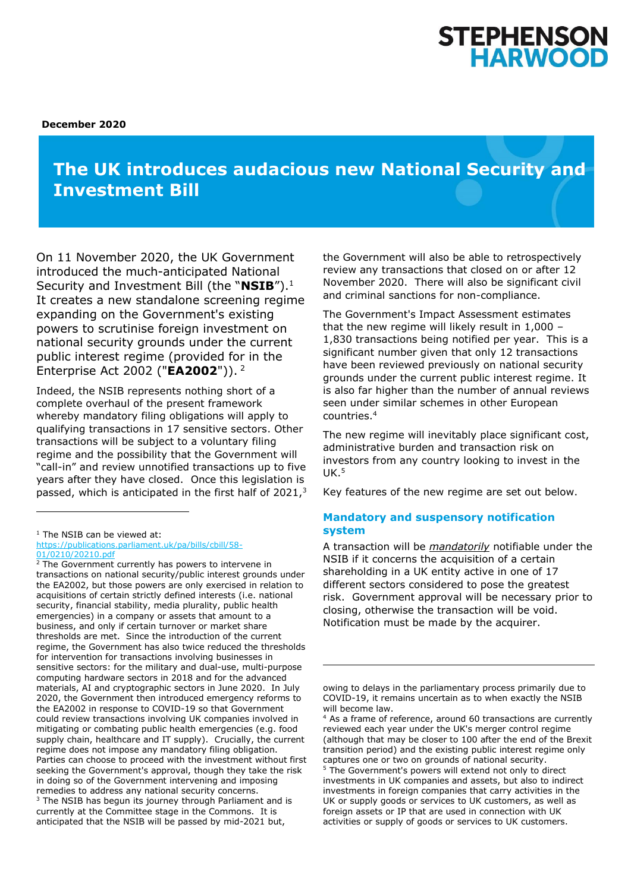

**December 2020**

# **The UK introduces audacious new National Security and Investment Bill**

On 11 November 2020, the UK Government introduced the much-anticipated National Security and Investment Bill (the "**NSIB**").<sup>1</sup> It creates a new standalone screening regime expanding on the Government's existing powers to scrutinise foreign investment on national security grounds under the current public interest regime (provided for in the Enterprise Act 2002 ("**EA2002**")). 2

Indeed, the NSIB represents nothing short of a complete overhaul of the present framework whereby mandatory filing obligations will apply to qualifying transactions in 17 sensitive sectors. Other transactions will be subject to a voluntary filing regime and the possibility that the Government will "call-in" and review unnotified transactions up to five years after they have closed. Once this legislation is passed, which is anticipated in the first half of  $2021<sup>3</sup>$  the Government will also be able to retrospectively review any transactions that closed on or after 12 November 2020. There will also be significant civil and criminal sanctions for non-compliance.

The Government's Impact Assessment estimates that the new regime will likely result in 1,000 – 1,830 transactions being notified per year. This is a significant number given that only 12 transactions have been reviewed previously on national security grounds under the current public interest regime. It is also far higher than the number of annual reviews seen under similar schemes in other European countries.<sup>4</sup>

The new regime will inevitably place significant cost, administrative burden and transaction risk on investors from any country looking to invest in the  $IJK.5$ 

Key features of the new regime are set out below.

# **Mandatory and suspensory notification system**

A transaction will be *mandatorily* notifiable under the NSIB if it concerns the acquisition of a certain shareholding in a UK entity active in one of 17 different sectors considered to pose the greatest risk. Government approval will be necessary prior to closing, otherwise the transaction will be void. Notification must be made by the acquirer.

<sup>&</sup>lt;sup>1</sup> The NSIB can be viewed at: [https://publications.parliament.uk/pa/bills/cbill/58-](https://publications.parliament.uk/pa/bills/cbill/58-01/0210/20210.pdf)

[<sup>01/0210/20210.</sup>pdf](https://publications.parliament.uk/pa/bills/cbill/58-01/0210/20210.pdf)  $2$  The Government currently has powers to intervene in transactions on national security/public interest grounds under the EA2002, but those powers are only exercised in relation to acquisitions of certain strictly defined interests (i.e. national security, financial stability, media plurality, public health emergencies) in a company or assets that amount to a business, and only if certain turnover or market share thresholds are met. Since the introduction of the current regime, the Government has also twice reduced the thresholds for intervention for transactions involving businesses in sensitive sectors: for the military and dual-use, multi-purpose computing hardware sectors in 2018 and for the advanced materials, AI and cryptographic sectors in June 2020. In July 2020, the Government then introduced emergency reforms to the EA2002 in response to COVID-19 so that Government could review transactions involving UK companies involved in mitigating or combating public health emergencies (e.g. food supply chain, healthcare and IT supply). Crucially, the current regime does not impose any mandatory filing obligation. Parties can choose to proceed with the investment without first seeking the Government's approval, though they take the risk in doing so of the Government intervening and imposing remedies to address any national security concerns. <sup>3</sup> The NSIB has begun its journey through Parliament and is currently at the Committee stage in the Commons. It is anticipated that the NSIB will be passed by mid-2021 but,

owing to delays in the parliamentary process primarily due to COVID-19, it remains uncertain as to when exactly the NSIB will become law.

<sup>&</sup>lt;sup>4</sup> As a frame of reference, around 60 transactions are currently reviewed each year under the UK's merger control regime (although that may be closer to 100 after the end of the Brexit transition period) and the existing public interest regime only captures one or two on grounds of national security.

<sup>&</sup>lt;sup>5</sup> The Government's powers will extend not only to direct investments in UK companies and assets, but also to indirect investments in foreign companies that carry activities in the UK or supply goods or services to UK customers, as well as foreign assets or IP that are used in connection with UK activities or supply of goods or services to UK customers.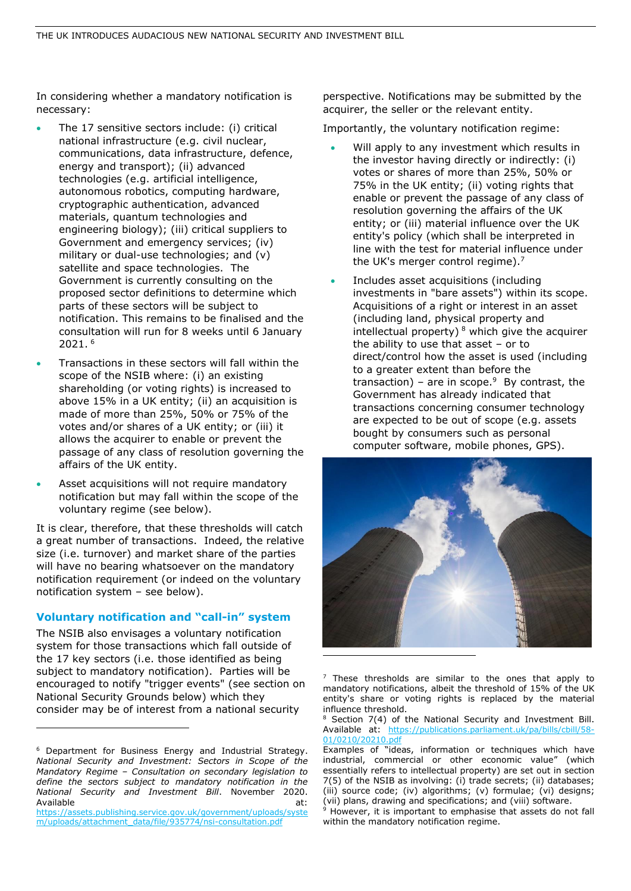In considering whether a mandatory notification is necessary:

- The 17 sensitive sectors include: (i) critical national infrastructure (e.g. civil nuclear, communications, data infrastructure, defence, energy and transport); (ii) advanced technologies (e.g. artificial intelligence, autonomous robotics, computing hardware, cryptographic authentication, advanced materials, quantum technologies and engineering biology); (iii) critical suppliers to Government and emergency services; (iv) military or dual-use technologies; and (v) satellite and space technologies. The Government is currently consulting on the proposed sector definitions to determine which parts of these sectors will be subject to notification. This remains to be finalised and the consultation will run for 8 weeks until 6 January 2021. 6
- Transactions in these sectors will fall within the scope of the NSIB where: (i) an existing shareholding (or voting rights) is increased to above 15% in a UK entity; (ii) an acquisition is made of more than 25%, 50% or 75% of the votes and/or shares of a UK entity; or (iii) it allows the acquirer to enable or prevent the passage of any class of resolution governing the affairs of the UK entity.
- Asset acquisitions will not require mandatory notification but may fall within the scope of the voluntary regime (see below).

It is clear, therefore, that these thresholds will catch a great number of transactions. Indeed, the relative size (i.e. turnover) and market share of the parties will have no bearing whatsoever on the mandatory notification requirement (or indeed on the voluntary notification system – see below).

#### **Voluntary notification and "call-in" system**

The NSIB also envisages a voluntary notification system for those transactions which fall outside of the 17 key sectors (i.e. those identified as being subject to mandatory notification). Parties will be encouraged to notify "trigger events" (see section on National Security Grounds below) which they consider may be of interest from a national security

perspective. Notifications may be submitted by the acquirer, the seller or the relevant entity.

Importantly, the voluntary notification regime:

- Will apply to any investment which results in the investor having directly or indirectly: (i) votes or shares of more than 25%, 50% or 75% in the UK entity; (ii) voting rights that enable or prevent the passage of any class of resolution governing the affairs of the UK entity; or (iii) material influence over the UK entity's policy (which shall be interpreted in line with the test for material influence under the UK's merger control regime).<sup>7</sup>
- Includes asset acquisitions (including investments in "bare assets") within its scope. Acquisitions of a right or interest in an asset (including land, physical property and intellectual property)  $8$  which give the acquirer the ability to use that asset – or to direct/control how the asset is used (including to a greater extent than before the transaction) – are in scope. $9$  By contrast, the Government has already indicated that transactions concerning consumer technology are expected to be out of scope (e.g. assets bought by consumers such as personal computer software, mobile phones, GPS).



 $7$  These thresholds are similar to the ones that apply to mandatory notifications, albeit the threshold of 15% of the UK entity's share or voting rights is replaced by the material influence threshold.

<sup>6</sup> Department for Business Energy and Industrial Strategy. *National Security and Investment: Sectors in Scope of the Mandatory Regime – Consultation on secondary legislation to define the sectors subject to mandatory notification in the National Security and Investment Bill*. November 2020. Available at:

[https://assets.publishing.service.gov.uk/government/uploads/syste](https://assets.publishing.service.gov.uk/government/uploads/system/uploads/attachment_data/file/935774/nsi-consultation.pdf) [m/uploads/attachment\\_data/file/935774/nsi-consultation.pdf](https://assets.publishing.service.gov.uk/government/uploads/system/uploads/attachment_data/file/935774/nsi-consultation.pdf)

Section 7(4) of the National Security and Investment Bill. Available at: [https://publications.parliament.uk/pa/bills/cbill/58-](https://publications.parliament.uk/pa/bills/cbill/58-01/0210/20210.pdf) [01/0210/20210.pdf](https://publications.parliament.uk/pa/bills/cbill/58-01/0210/20210.pdf)

Examples of "ideas, information or techniques which have industrial, commercial or other economic value" (which essentially refers to intellectual property) are set out in section 7(5) of the NSIB as involving: (i) trade secrets; (ii) databases; (iii) source code; (iv) algorithms; (v) formulae; (vi) designs; (vii) plans, drawing and specifications; and (viii) software.

 $9$  However, it is important to emphasise that assets do not fall within the mandatory notification regime.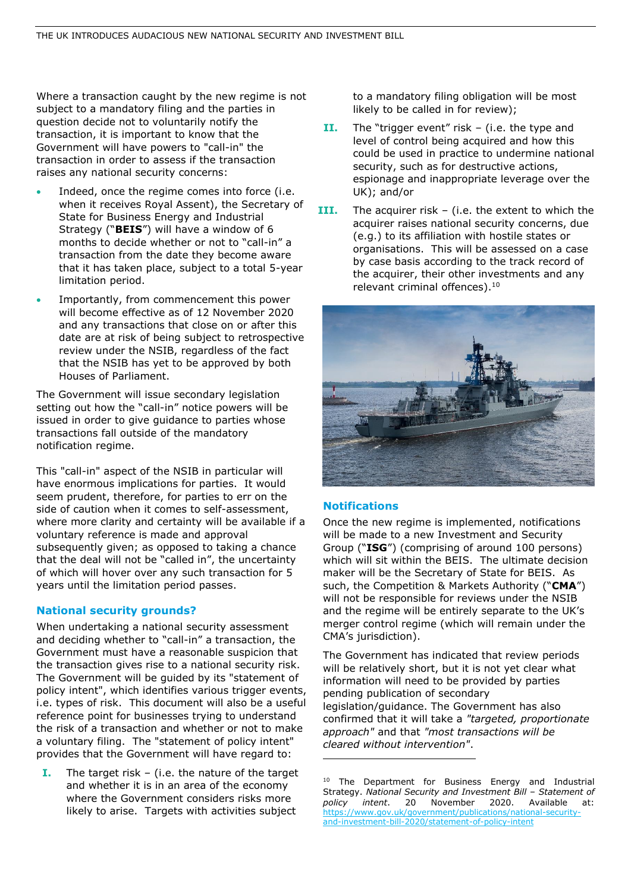Where a transaction caught by the new regime is not subject to a mandatory filing and the parties in question decide not to voluntarily notify the transaction, it is important to know that the Government will have powers to "call-in" the transaction in order to assess if the transaction raises any national security concerns:

- Indeed, once the regime comes into force (i.e. when it receives Royal Assent), the Secretary of State for Business Energy and Industrial Strategy ("**BEIS**") will have a window of 6 months to decide whether or not to "call-in" a transaction from the date they become aware that it has taken place, subject to a total 5-year limitation period.
- Importantly, from commencement this power will become effective as of 12 November 2020 and any transactions that close on or after this date are at risk of being subject to retrospective review under the NSIB, regardless of the fact that the NSIB has yet to be approved by both Houses of Parliament.

The Government will issue secondary legislation setting out how the "call-in" notice powers will be issued in order to give guidance to parties whose transactions fall outside of the mandatory notification regime.

This "call-in" aspect of the NSIB in particular will have enormous implications for parties. It would seem prudent, therefore, for parties to err on the side of caution when it comes to self-assessment, where more clarity and certainty will be available if a voluntary reference is made and approval subsequently given; as opposed to taking a chance that the deal will not be "called in", the uncertainty of which will hover over any such transaction for 5 years until the limitation period passes.

#### **National security grounds?**

When undertaking a national security assessment and deciding whether to "call-in" a transaction, the Government must have a reasonable suspicion that the transaction gives rise to a national security risk. The Government will be guided by its "statement of policy intent", which identifies various trigger events, i.e. types of risk. This document will also be a useful reference point for businesses trying to understand the risk of a transaction and whether or not to make a voluntary filing. The "statement of policy intent" provides that the Government will have regard to:

**I.** The target risk – (i.e. the nature of the target and whether it is in an area of the economy where the Government considers risks more likely to arise. Targets with activities subject

to a mandatory filing obligation will be most likely to be called in for review);

- **II.** The "trigger event" risk (i.e. the type and level of control being acquired and how this could be used in practice to undermine national security, such as for destructive actions, espionage and inappropriate leverage over the UK); and/or
- **III.** The acquirer risk (i.e. the extent to which the acquirer raises national security concerns, due (e.g.) to its affiliation with hostile states or organisations. This will be assessed on a case by case basis according to the track record of the acquirer, their other investments and any relevant criminal offences).<sup>10</sup>



#### **Notifications**

Once the new regime is implemented, notifications will be made to a new Investment and Security Group ("**ISG**") (comprising of around 100 persons) which will sit within the BEIS. The ultimate decision maker will be the Secretary of State for BEIS. As such, the Competition & Markets Authority ("**CMA**") will not be responsible for reviews under the NSIB and the regime will be entirely separate to the UK's merger control regime (which will remain under the CMA's jurisdiction).

The Government has indicated that review periods will be relatively short, but it is not yet clear what information will need to be provided by parties pending publication of secondary legislation/guidance. The Government has also confirmed that it will take a *"targeted, proportionate approach"* and that *"most transactions will be cleared without intervention"*.

<sup>&</sup>lt;sup>10</sup> The Department for Business Energy and Industrial Strategy. *National Security and Investment Bill – Statement of policy intent*. 20 November 2020. Available at: [https://www.gov.uk/government/publications/national-security](https://www.gov.uk/government/publications/national-security-and-investment-bill-2020/statement-of-policy-intent)[and-investment-bill-2020/statement-of-policy-intent](https://www.gov.uk/government/publications/national-security-and-investment-bill-2020/statement-of-policy-intent)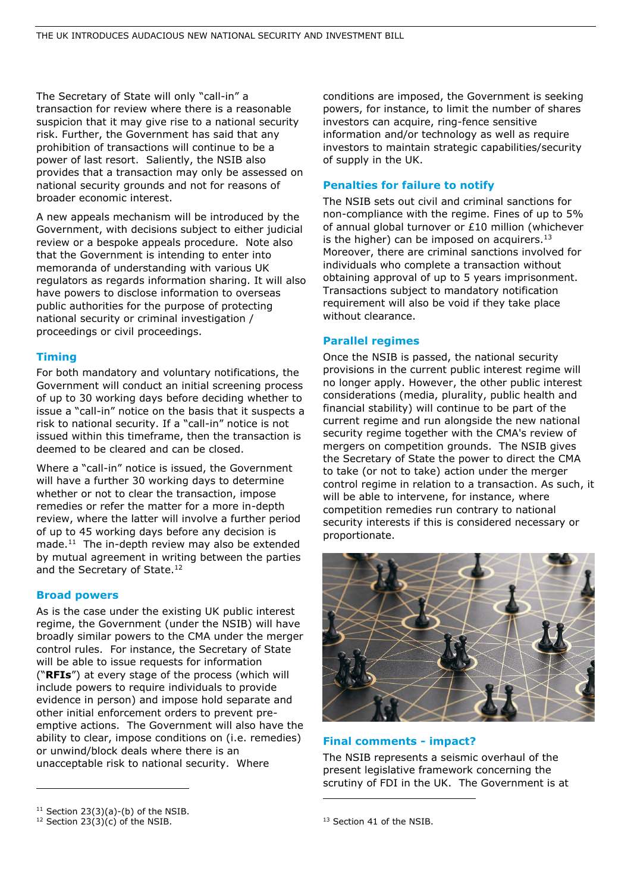The Secretary of State will only "call-in" a transaction for review where there is a reasonable suspicion that it may give rise to a national security risk. Further, the Government has said that any prohibition of transactions will continue to be a power of last resort. Saliently, the NSIB also provides that a transaction may only be assessed on national security grounds and not for reasons of broader economic interest.

A new appeals mechanism will be introduced by the Government, with decisions subject to either judicial review or a bespoke appeals procedure. Note also that the Government is intending to enter into memoranda of understanding with various UK regulators as regards information sharing. It will also have powers to disclose information to overseas public authorities for the purpose of protecting national security or criminal investigation / proceedings or civil proceedings.

# **Timing**

For both mandatory and voluntary notifications, the Government will conduct an initial screening process of up to 30 working days before deciding whether to issue a "call-in" notice on the basis that it suspects a risk to national security. If a "call-in" notice is not issued within this timeframe, then the transaction is deemed to be cleared and can be closed.

Where a "call-in" notice is issued, the Government will have a further 30 working days to determine whether or not to clear the transaction, impose remedies or refer the matter for a more in-depth review, where the latter will involve a further period of up to 45 working days before any decision is made. $11$  The in-depth review may also be extended by mutual agreement in writing between the parties and the Secretary of State.<sup>12</sup>

#### **Broad powers**

As is the case under the existing UK public interest regime, the Government (under the NSIB) will have broadly similar powers to the CMA under the merger control rules. For instance, the Secretary of State will be able to issue requests for information ("**RFIs**") at every stage of the process (which will include powers to require individuals to provide evidence in person) and impose hold separate and other initial enforcement orders to prevent preemptive actions. The Government will also have the ability to clear, impose conditions on (i.e. remedies) or unwind/block deals where there is an unacceptable risk to national security. Where

conditions are imposed, the Government is seeking powers, for instance, to limit the number of shares investors can acquire, ring-fence sensitive information and/or technology as well as require investors to maintain strategic capabilities/security of supply in the UK.

# **Penalties for failure to notify**

The NSIB sets out civil and criminal sanctions for non-compliance with the regime. Fines of up to 5% of annual global turnover or £10 million (whichever is the higher) can be imposed on acquirers. $13$ Moreover, there are criminal sanctions involved for individuals who complete a transaction without obtaining approval of up to 5 years imprisonment. Transactions subject to mandatory notification requirement will also be void if they take place without clearance.

#### **Parallel regimes**

Once the NSIB is passed, the national security provisions in the current public interest regime will no longer apply. However, the other public interest considerations (media, plurality, public health and financial stability) will continue to be part of the current regime and run alongside the new national security regime together with the CMA's review of mergers on competition grounds. The NSIB gives the Secretary of State the power to direct the CMA to take (or not to take) action under the merger control regime in relation to a transaction. As such, it will be able to intervene, for instance, where competition remedies run contrary to national security interests if this is considered necessary or proportionate.



# **Final comments - impact?**

The NSIB represents a seismic overhaul of the present legislative framework concerning the scrutiny of FDI in the UK. The Government is at

 $11$  Section 23(3)(a)-(b) of the NSIB.

 $12$  Section 23(3)(c) of the NSIB.

<sup>&</sup>lt;sup>13</sup> Section 41 of the NSIB.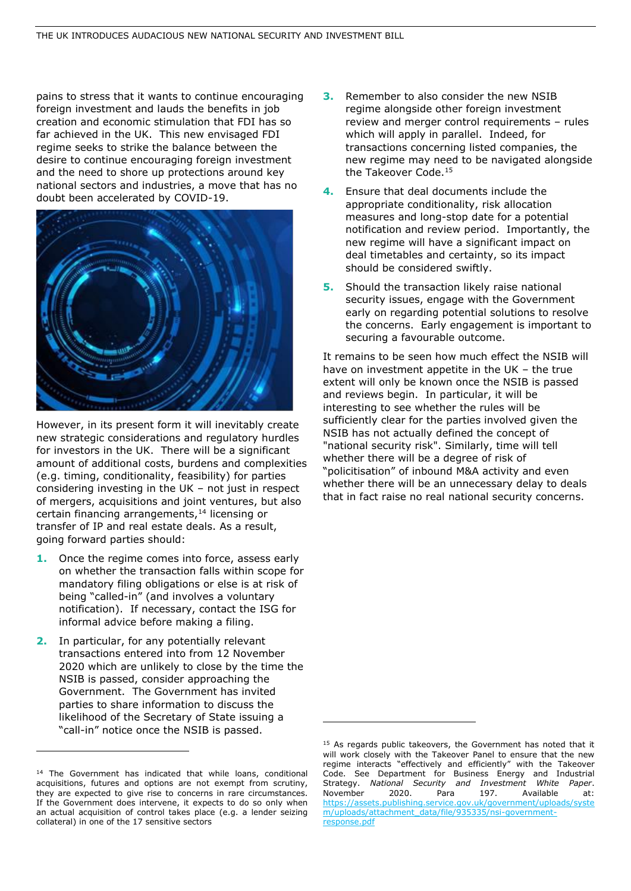pains to stress that it wants to continue encouraging foreign investment and lauds the benefits in job creation and economic stimulation that FDI has so far achieved in the UK. This new envisaged FDI regime seeks to strike the balance between the desire to continue encouraging foreign investment and the need to shore up protections around key national sectors and industries, a move that has no doubt been accelerated by COVID-19.



However, in its present form it will inevitably create new strategic considerations and regulatory hurdles for investors in the UK. There will be a significant amount of additional costs, burdens and complexities (e.g. timing, conditionality, feasibility) for parties considering investing in the UK – not just in respect of mergers, acquisitions and joint ventures, but also certain financing arrangements,<sup>14</sup> licensing or transfer of IP and real estate deals. As a result, going forward parties should:

- **1.** Once the regime comes into force, assess early on whether the transaction falls within scope for mandatory filing obligations or else is at risk of being "called-in" (and involves a voluntary notification). If necessary, contact the ISG for informal advice before making a filing.
- **2.** In particular, for any potentially relevant transactions entered into from 12 November 2020 which are unlikely to close by the time the NSIB is passed, consider approaching the Government. The Government has invited parties to share information to discuss the likelihood of the Secretary of State issuing a "call-in" notice once the NSIB is passed.
- **3.** Remember to also consider the new NSIB regime alongside other foreign investment review and merger control requirements – rules which will apply in parallel. Indeed, for transactions concerning listed companies, the new regime may need to be navigated alongside the Takeover Code.<sup>15</sup>
- **4.** Ensure that deal documents include the appropriate conditionality, risk allocation measures and long-stop date for a potential notification and review period. Importantly, the new regime will have a significant impact on deal timetables and certainty, so its impact should be considered swiftly.
- **5.** Should the transaction likely raise national security issues, engage with the Government early on regarding potential solutions to resolve the concerns. Early engagement is important to securing a favourable outcome.

It remains to be seen how much effect the NSIB will have on investment appetite in the UK – the true extent will only be known once the NSIB is passed and reviews begin. In particular, it will be interesting to see whether the rules will be sufficiently clear for the parties involved given the NSIB has not actually defined the concept of "national security risk". Similarly, time will tell whether there will be a degree of risk of "policitisation" of inbound M&A activity and even whether there will be an unnecessary delay to deals that in fact raise no real national security concerns.

<sup>&</sup>lt;sup>14</sup> The Government has indicated that while loans, conditional acquisitions, futures and options are not exempt from scrutiny, they are expected to give rise to concerns in rare circumstances. If the Government does intervene, it expects to do so only when an actual acquisition of control takes place (e.g. a lender seizing collateral) in one of the 17 sensitive sectors

<sup>&</sup>lt;sup>15</sup> As regards public takeovers, the Government has noted that it will work closely with the Takeover Panel to ensure that the new regime interacts "effectively and efficiently" with the Takeover Code. See Department for Business Energy and Industrial Strategy. *National Security and Investment White Paper*. November 2020. Para 197. Available at: [https://assets.publishing.service.gov.uk/government/uploads/syste](https://assets.publishing.service.gov.uk/government/uploads/system/uploads/attachment_data/file/935335/nsi-government-response.pdf) [m/uploads/attachment\\_data/file/935335/nsi-government](https://assets.publishing.service.gov.uk/government/uploads/system/uploads/attachment_data/file/935335/nsi-government-response.pdf)[response.pdf](https://assets.publishing.service.gov.uk/government/uploads/system/uploads/attachment_data/file/935335/nsi-government-response.pdf)